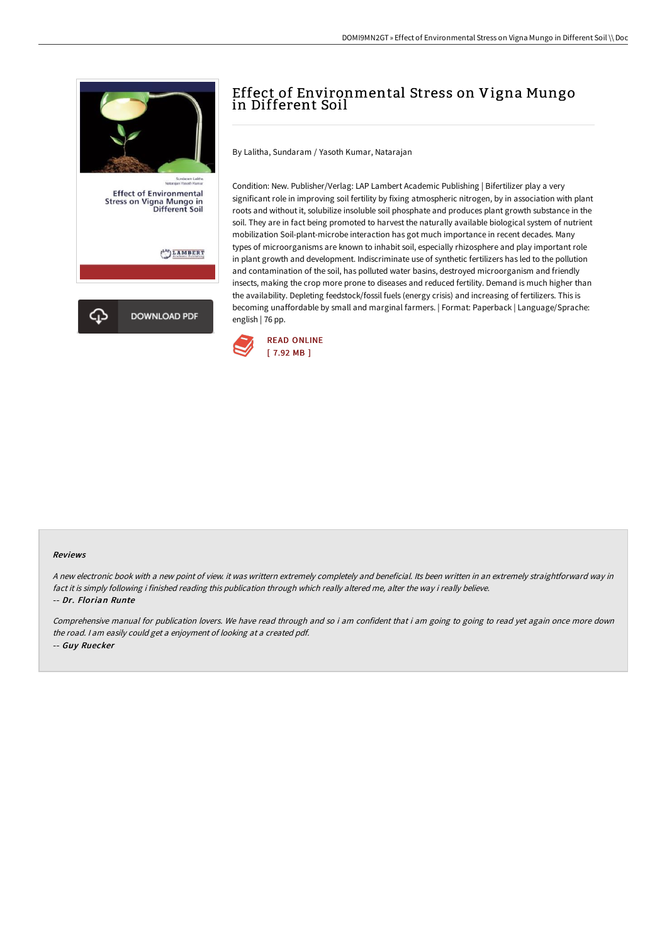

# Effect of Environmental Stress on Vigna Mungo in Different Soil

By Lalitha, Sundaram / Yasoth Kumar, Natarajan

Condition: New. Publisher/Verlag: LAP Lambert Academic Publishing | Bifertilizer play a very significant role in improving soil fertility by fixing atmospheric nitrogen, by in association with plant roots and without it, solubilize insoluble soil phosphate and produces plant growth substance in the soil. They are in fact being promoted to harvest the naturally available biological system of nutrient mobilization Soil-plant-microbe interaction has got much importance in recent decades. Many types of microorganisms are known to inhabit soil, especially rhizosphere and play important role in plant growth and development. Indiscriminate use of synthetic fertilizers has led to the pollution and contamination of the soil, has polluted water basins, destroyed microorganism and friendly insects, making the crop more prone to diseases and reduced fertility. Demand is much higher than the availability. Depleting feedstock/fossil fuels (energy crisis) and increasing of fertilizers. This is becoming unaffordable by small and marginal farmers. | Format: Paperback | Language/Sprache: english | 76 pp.



#### Reviews

<sup>A</sup> new electronic book with <sup>a</sup> new point of view. it was writtern extremely completely and beneficial. Its been written in an extremely straightforward way in fact it is simply following i finished reading this publication through which really altered me, alter the way i really believe. -- Dr. Florian Runte

Comprehensive manual for publication lovers. We have read through and so i am confident that i am going to going to read yet again once more down the road. <sup>I</sup> am easily could get <sup>a</sup> enjoyment of looking at <sup>a</sup> created pdf. -- Guy Ruecker